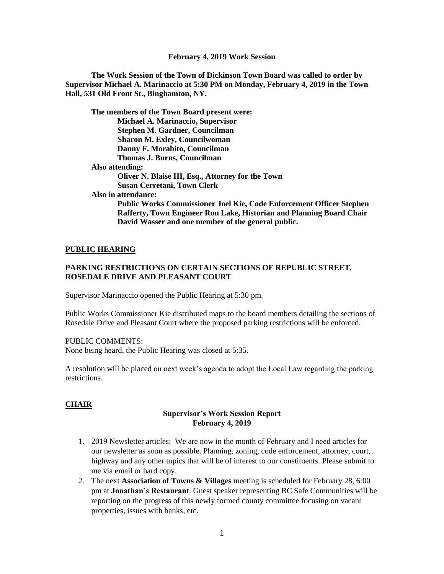**The Work Session of the Town of Dickinson Town Board was called to order by Supervisor Michael A. Marinaccio at 5:30 PM on Monday, February 4, 2019 in the Town Hall, 531 Old Front St., Binghamton, NY.**

**The members of the Town Board present were: Michael A. Marinaccio, Supervisor Stephen M. Gardner, Councilman Sharon M. Exley, Councilwoman Danny F. Morabito, Councilman Thomas J. Burns, Councilman Also attending: Oliver N. Blaise III, Esq., Attorney for the Town Susan Cerretani, Town Clerk Also in attendance:** 

**Public Works Commissioner Joel Kie, Code Enforcement Officer Stephen Rafferty, Town Engineer Ron Lake, Historian and Planning Board Chair David Wasser and one member of the general public.**

#### **PUBLIC HEARING**

#### **PARKING RESTRICTIONS ON CERTAIN SECTIONS OF REPUBLIC STREET, ROSEDALE DRIVE AND PLEASANT COURT**

Supervisor Marinaccio opened the Public Hearing at 5:30 pm.

Public Works Commissioner Kie distributed maps to the board members detailing the sections of Rosedale Drive and Pleasant Court where the proposed parking restrictions will be enforced.

#### PUBLIC COMMENTS:

None being heard, the Public Hearing was closed at 5:35.

A resolution will be placed on next week's agenda to adopt the Local Law regarding the parking restrictions.

### **CHAIR**

#### **Supervisor's Work Session Report February 4, 2019**

- 1. 2019 Newsletter articles: We are now in the month of February and I need articles for our newsletter as soon as possible. Planning, zoning, code enforcement, attorney, court, highway and any other topics that will be of interest to our constituents. Please submit to me via email or hard copy.
- 2. The next **Association of Towns & Villages** meeting is scheduled for February 28, 6:00 pm at **Jonathan's Restaurant**. Guest speaker representing BC Safe Communities will be reporting on the progress of this newly formed county committee focusing on vacant properties, issues with banks, etc.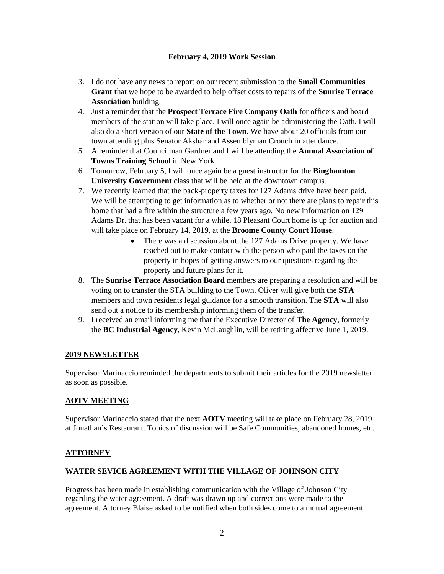- 3. I do not have any news to report on our recent submission to the **Small Communities Grant t**hat we hope to be awarded to help offset costs to repairs of the **Sunrise Terrace Association** building.
- 4. Just a reminder that the **Prospect Terrace Fire Company Oath** for officers and board members of the station will take place. I will once again be administering the Oath. I will also do a short version of our **State of the Town**. We have about 20 officials from our town attending plus Senator Akshar and Assemblyman Crouch in attendance.
- 5. A reminder that Councilman Gardner and I will be attending the **Annual Association of Towns Training School** in New York.
- 6. Tomorrow, February 5, I will once again be a guest instructor for the **Binghamton University Government** class that will be held at the downtown campus.
- 7. We recently learned that the back-property taxes for 127 Adams drive have been paid. We will be attempting to get information as to whether or not there are plans to repair this home that had a fire within the structure a few years ago. No new information on 129 Adams Dr. that has been vacant for a while. 18 Pleasant Court home is up for auction and will take place on February 14, 2019, at the **Broome County Court House**.
	- There was a discussion about the 127 Adams Drive property. We have reached out to make contact with the person who paid the taxes on the property in hopes of getting answers to our questions regarding the property and future plans for it.
- 8. The **Sunrise Terrace Association Board** members are preparing a resolution and will be voting on to transfer the STA building to the Town. Oliver will give both the **STA** members and town residents legal guidance for a smooth transition. The **STA** will also send out a notice to its membership informing them of the transfer.
- 9. I received an email informing me that the Executive Director of **The Agency**, formerly the **BC Industrial Agency**, Kevin McLaughlin, will be retiring affective June 1, 2019.

## **2019 NEWSLETTER**

Supervisor Marinaccio reminded the departments to submit their articles for the 2019 newsletter as soon as possible.

## **AOTV MEETING**

Supervisor Marinaccio stated that the next **AOTV** meeting will take place on February 28, 2019 at Jonathan's Restaurant. Topics of discussion will be Safe Communities, abandoned homes, etc.

### **ATTORNEY**

### **WATER SEVICE AGREEMENT WITH THE VILLAGE OF JOHNSON CITY**

Progress has been made in establishing communication with the Village of Johnson City regarding the water agreement. A draft was drawn up and corrections were made to the agreement. Attorney Blaise asked to be notified when both sides come to a mutual agreement.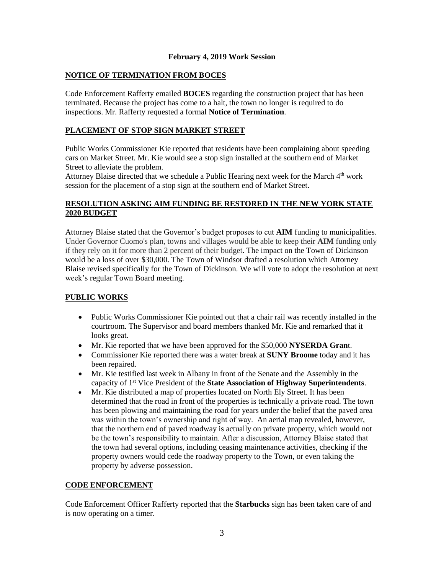#### **NOTICE OF TERMINATION FROM BOCES**

Code Enforcement Rafferty emailed **BOCES** regarding the construction project that has been terminated. Because the project has come to a halt, the town no longer is required to do inspections. Mr. Rafferty requested a formal **Notice of Termination**.

#### **PLACEMENT OF STOP SIGN MARKET STREET**

Public Works Commissioner Kie reported that residents have been complaining about speeding cars on Market Street. Mr. Kie would see a stop sign installed at the southern end of Market Street to alleviate the problem.

Attorney Blaise directed that we schedule a Public Hearing next week for the March  $4<sup>th</sup>$  work session for the placement of a stop sign at the southern end of Market Street.

## **RESOLUTION ASKING AIM FUNDING BE RESTORED IN THE NEW YORK STATE 2020 BUDGET**

Attorney Blaise stated that the Governor's budget proposes to cut **AIM** funding to municipalities. Under Governor Cuomo's plan, towns and villages would be able to keep their **AIM** funding only if they rely on it for more than 2 percent of their budget. The impact on the Town of Dickinson would be a loss of over \$30,000. The Town of Windsor drafted a resolution which Attorney Blaise revised specifically for the Town of Dickinson. We will vote to adopt the resolution at next week's regular Town Board meeting.

### **PUBLIC WORKS**

- Public Works Commissioner Kie pointed out that a chair rail was recently installed in the courtroom. The Supervisor and board members thanked Mr. Kie and remarked that it looks great.
- Mr. Kie reported that we have been approved for the \$50,000 **NYSERDA Gran**t.
- Commissioner Kie reported there was a water break at **SUNY Broome** today and it has been repaired.
- Mr. Kie testified last week in Albany in front of the Senate and the Assembly in the capacity of 1 st Vice President of the **State Association of Highway Superintendents**.
- Mr. Kie distributed a map of properties located on North Ely Street. It has been determined that the road in front of the properties is technically a private road. The town has been plowing and maintaining the road for years under the belief that the paved area was within the town's ownership and right of way. An aerial map revealed, however, that the northern end of paved roadway is actually on private property, which would not be the town's responsibility to maintain. After a discussion, Attorney Blaise stated that the town had several options, including ceasing maintenance activities, checking if the property owners would cede the roadway property to the Town, or even taking the property by adverse possession.

#### **CODE ENFORCEMENT**

Code Enforcement Officer Rafferty reported that the **Starbucks** sign has been taken care of and is now operating on a timer.